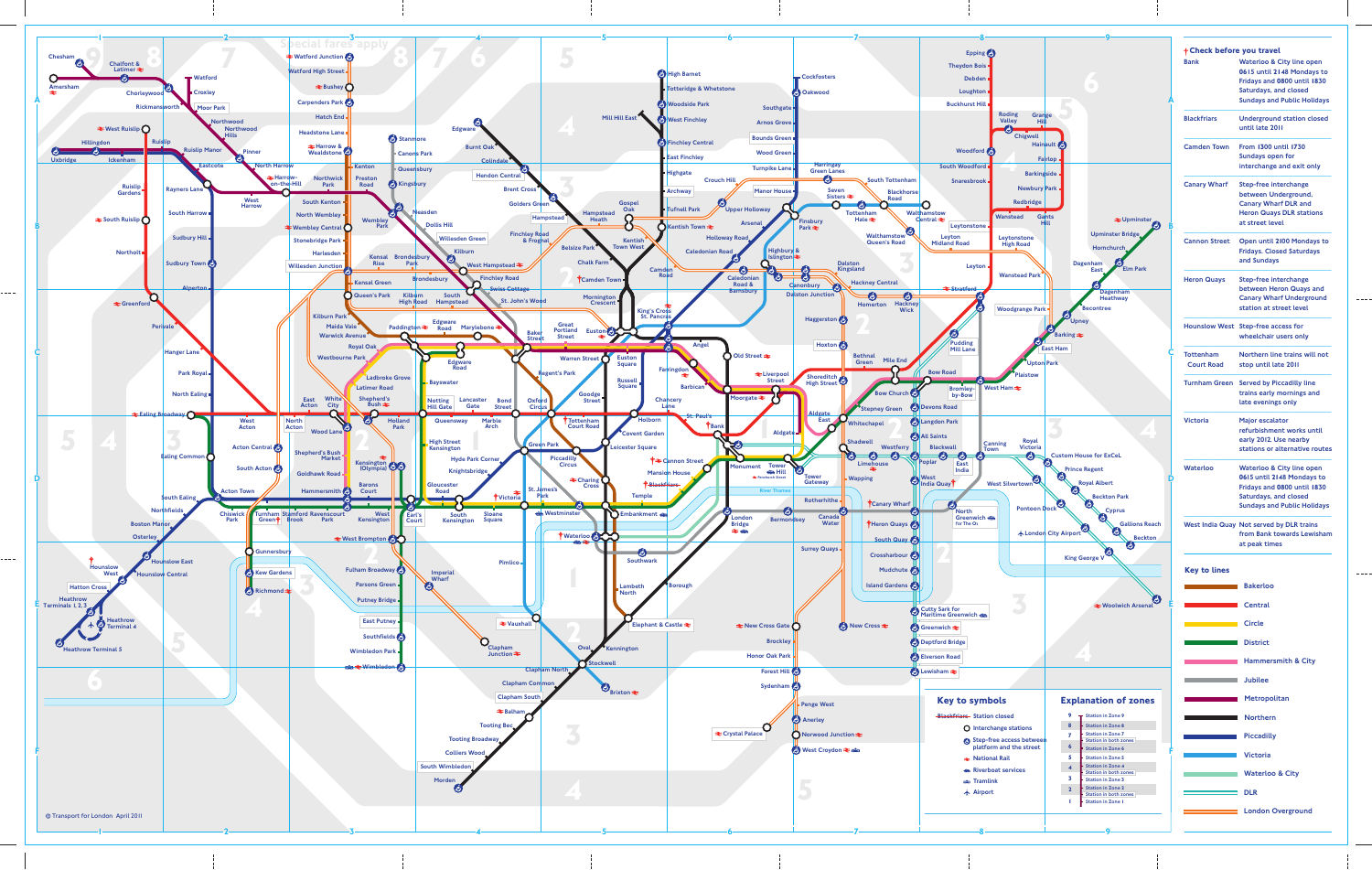Bank Waterloo & City line open  **06**15 until **21**48 Mondays to Fridays and **08**00 until **18**30 Saturdays, and closed Sundays and Public Holidays

Blackfriars Underground station closed until late 2011

> Sundays open for interchange and exit only

 between Underground, Canary Wharf DLR and Heron Quays DLR stations at street level

Waterloo Waterloo & City line open  **06**15 until **21**48 Mondays to Fridays and **08**00 until **18**30 Saturdays, and closed Sundays and Public Holidays

Cannon Street Open until **21**00 Mondays to Fridays. Closed Saturdays and Sundays

> between Heron Quays and Canary Wharf Underground station at street level

wheelchair users only

Tottenham Northern line trains will not

Turnham Green Served by Piccadilly line trains early mornings and late evenings only

> refurbishment works until early 2012. Use nearby stations or alternative routes

West India Quay Not served by DLR trains from Bank towards Lewisham at peak times

 $-- -$ 

Bakerloo

**Central** 

**District** 

**Hammersmith & City** 

**Metropolitan** 

**Northern** 

**No Piccadilly** 

**Victoria** 

**Waterloo & City** 

**London Overground** 



 $\qquad \qquad - - - -$ 

 $---$